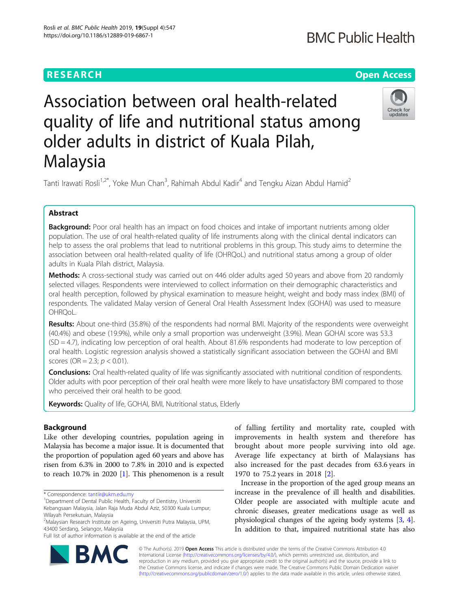## **RESEARCH CHEAR CHEAR CHEAR CHEAR CHEAR CHEAR CHEAR CHEAR CHEAR CHEAR CHEAR CHEAR CHEAR CHEAR CHEAR CHEAR CHEAR**

## **BMC Public Health**

## Check for undates

# Association between oral health-related quality of life and nutritional status among older adults in district of Kuala Pilah, Malaysia

Tanti Irawati Rosli<sup>1,2\*</sup>, Yoke Mun Chan<sup>3</sup>, Rahimah Abdul Kadir<sup>4</sup> and Tengku Aizan Abdul Hamid<sup>2</sup>

### Abstract

Background: Poor oral health has an impact on food choices and intake of important nutrients among older population. The use of oral health-related quality of life instruments along with the clinical dental indicators can help to assess the oral problems that lead to nutritional problems in this group. This study aims to determine the association between oral health-related quality of life (OHRQoL) and nutritional status among a group of older adults in Kuala Pilah district, Malaysia.

Methods: A cross-sectional study was carried out on 446 older adults aged 50 years and above from 20 randomly selected villages. Respondents were interviewed to collect information on their demographic characteristics and oral health perception, followed by physical examination to measure height, weight and body mass index (BMI) of respondents. The validated Malay version of General Oral Health Assessment Index (GOHAI) was used to measure OHRQoL.

Results: About one-third (35.8%) of the respondents had normal BMI. Majority of the respondents were overweight (40.4%) and obese (19.9%), while only a small proportion was underweight (3.9%). Mean GOHAI score was 53.3 (SD = 4.7), indicating low perception of oral health. About 81.6% respondents had moderate to low perception of oral health. Logistic regression analysis showed a statistically significant association between the GOHAI and BMI scores (OR = 2.3;  $p < 0.01$ ).

**Conclusions:** Oral health-related quality of life was significantly associated with nutritional condition of respondents. Older adults with poor perception of their oral health were more likely to have unsatisfactory BMI compared to those who perceived their oral health to be good.

Keywords: Quality of life, GOHAI, BMI, Nutritional status, Elderly

#### Background

Like other developing countries, population ageing in Malaysia has become a major issue. It is documented that the proportion of population aged 60 years and above has risen from 6.3% in 2000 to 7.8% in 2010 and is expected to reach 10.7% in 2020 [\[1](#page-6-0)]. This phenomenon is a result



Increase in the proportion of the aged group means an increase in the prevalence of ill health and disabilities. Older people are associated with multiple acute and chronic diseases, greater medications usage as well as physiological changes of the ageing body systems [[3](#page-6-0), [4](#page-6-0)]. In addition to that, impaired nutritional state has also



© The Author(s). 2019 **Open Access** This article is distributed under the terms of the Creative Commons Attribution 4.0 International License [\(http://creativecommons.org/licenses/by/4.0/](http://creativecommons.org/licenses/by/4.0/)), which permits unrestricted use, distribution, and reproduction in any medium, provided you give appropriate credit to the original author(s) and the source, provide a link to the Creative Commons license, and indicate if changes were made. The Creative Commons Public Domain Dedication waiver [\(http://creativecommons.org/publicdomain/zero/1.0/](http://creativecommons.org/publicdomain/zero/1.0/)) applies to the data made available in this article, unless otherwise stated.

<sup>\*</sup> Correspondence: [tantiir@ukm.edu.my](mailto:tantiir@ukm.edu.my) <sup>1</sup>

<sup>&</sup>lt;sup>1</sup> Department of Dental Public Health, Faculty of Dentistry, Universiti Kebangsaan Malaysia, Jalan Raja Muda Abdul Aziz, 50300 Kuala Lumpur,

Wilayah Persekutuan, Malaysia <sup>2</sup>Malaysian Research Institute on Ageing, Universiti Putra Malaysia, UPM,

<sup>43400</sup> Serdang, Selangor, Malaysia

Full list of author information is available at the end of the article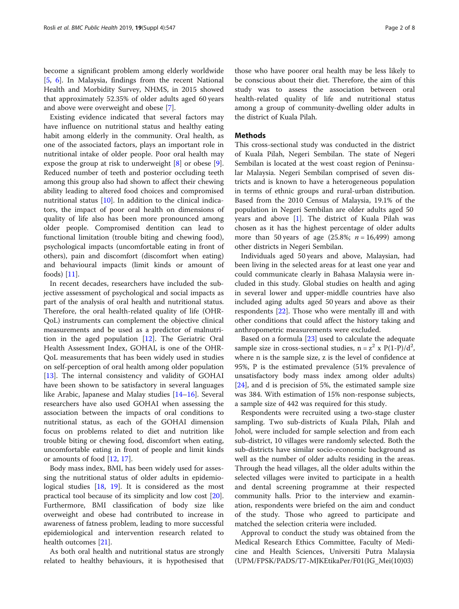become a significant problem among elderly worldwide [[5,](#page-6-0) [6\]](#page-6-0). In Malaysia, findings from the recent National Health and Morbidity Survey, NHMS, in 2015 showed that approximately 52.35% of older adults aged 60 years and above were overweight and obese [[7\]](#page-6-0).

Existing evidence indicated that several factors may have influence on nutritional status and healthy eating habit among elderly in the community. Oral health, as one of the associated factors, plays an important role in nutritional intake of older people. Poor oral health may expose the group at risk to underweight [\[8](#page-6-0)] or obese [\[9](#page-6-0)]. Reduced number of teeth and posterior occluding teeth among this group also had shown to affect their chewing ability leading to altered food choices and compromised nutritional status [[10\]](#page-6-0). In addition to the clinical indicators, the impact of poor oral health on dimensions of quality of life also has been more pronounced among older people. Compromised dentition can lead to functional limitation (trouble biting and chewing food), psychological impacts (uncomfortable eating in front of others), pain and discomfort (discomfort when eating) and behavioural impacts (limit kinds or amount of foods) [\[11\]](#page-6-0).

In recent decades, researchers have included the subjective assessment of psychological and social impacts as part of the analysis of oral health and nutritional status. Therefore, the oral health-related quality of life (OHR-QoL) instruments can complement the objective clinical measurements and be used as a predictor of malnutrition in the aged population [[12\]](#page-6-0). The Geriatric Oral Health Assessment Index, GOHAI, is one of the OHR-QoL measurements that has been widely used in studies on self-perception of oral health among older population [[13\]](#page-6-0). The internal consistency and validity of GOHAI have been shown to be satisfactory in several languages like Arabic, Japanese and Malay studies [\[14](#page-6-0)–[16\]](#page-6-0). Several researchers have also used GOHAI when assessing the association between the impacts of oral conditions to nutritional status, as each of the GOHAI dimension focus on problems related to diet and nutrition like trouble biting or chewing food, discomfort when eating, uncomfortable eating in front of people and limit kinds or amounts of food [\[12,](#page-6-0) [17\]](#page-6-0).

Body mass index, BMI, has been widely used for assessing the nutritional status of older adults in epidemiological studies [[18](#page-6-0), [19](#page-6-0)]. It is considered as the most practical tool because of its simplicity and low cost [\[20](#page-6-0)]. Furthermore, BMI classification of body size like overweight and obese had contributed to increase in awareness of fatness problem, leading to more successful epidemiological and intervention research related to health outcomes [\[21](#page-6-0)].

As both oral health and nutritional status are strongly related to healthy behaviours, it is hypothesised that

those who have poorer oral health may be less likely to be conscious about their diet. Therefore, the aim of this study was to assess the association between oral health-related quality of life and nutritional status among a group of community-dwelling older adults in the district of Kuala Pilah.

#### Methods

This cross-sectional study was conducted in the district of Kuala Pilah, Negeri Sembilan. The state of Negeri Sembilan is located at the west coast region of Peninsular Malaysia. Negeri Sembilan comprised of seven districts and is known to have a heterogeneous population in terms of ethnic groups and rural-urban distribution. Based from the 2010 Census of Malaysia, 19.1% of the population in Negeri Sembilan are older adults aged 50 years and above [[1\]](#page-6-0). The district of Kuala Pilah was chosen as it has the highest percentage of older adults more than 50 years of age  $(25.8\%; n = 16,499)$  among other districts in Negeri Sembilan.

Individuals aged 50 years and above, Malaysian, had been living in the selected areas for at least one year and could communicate clearly in Bahasa Malaysia were included in this study. Global studies on health and aging in several lower and upper-middle countries have also included aging adults aged 50 years and above as their respondents [\[22\]](#page-6-0). Those who were mentally ill and with other conditions that could affect the history taking and anthropometric measurements were excluded.

Based on a formula [[23\]](#page-6-0) used to calculate the adequate sample size in cross-sectional studies,  $n = z^2 \times P(1-P)/d^2$ , where n is the sample size, z is the level of confidence at 95%, P is the estimated prevalence (51% prevalence of unsatisfactory body mass index among older adults) [[24\]](#page-7-0), and d is precision of 5%, the estimated sample size was 384. With estimation of 15% non-response subjects, a sample size of 442 was required for this study.

Respondents were recruited using a two-stage cluster sampling. Two sub-districts of Kuala Pilah, Pilah and Johol, were included for sample selection and from each sub-district, 10 villages were randomly selected. Both the sub-districts have similar socio-economic background as well as the number of older adults residing in the areas. Through the head villages, all the older adults within the selected villages were invited to participate in a health and dental screening programme at their respected community halls. Prior to the interview and examination, respondents were briefed on the aim and conduct of the study. Those who agreed to participate and matched the selection criteria were included.

Approval to conduct the study was obtained from the Medical Research Ethics Committee, Faculty of Medicine and Health Sciences, Universiti Putra Malaysia (UPM/FPSK/PADS/T7-MJKEtikaPer/F01(IG\_Mei(10)03)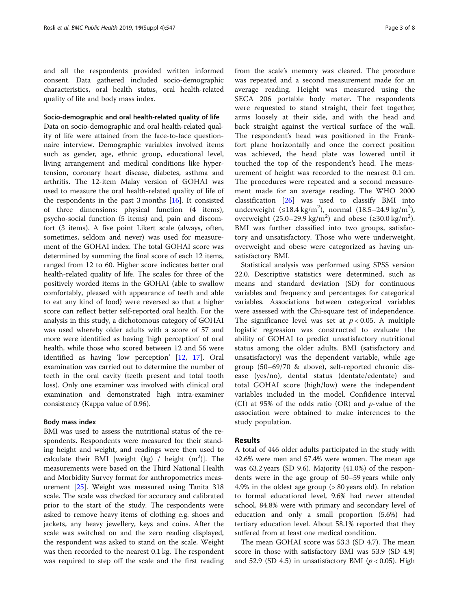and all the respondents provided written informed consent. Data gathered included socio-demographic characteristics, oral health status, oral health-related quality of life and body mass index.

#### Socio-demographic and oral health-related quality of life

Data on socio-demographic and oral health-related quality of life were attained from the face-to-face questionnaire interview. Demographic variables involved items such as gender, age, ethnic group, educational level, living arrangement and medical conditions like hypertension, coronary heart disease, diabetes, asthma and arthritis. The 12-item Malay version of GOHAI was used to measure the oral health-related quality of life of the respondents in the past 3 months [[16\]](#page-6-0). It consisted of three dimensions: physical function (4 items), psycho-social function (5 items) and, pain and discomfort (3 items). A five point Likert scale (always, often, sometimes, seldom and never) was used for measurement of the GOHAI index. The total GOHAI score was determined by summing the final score of each 12 items, ranged from 12 to 60. Higher score indicates better oral health-related quality of life. The scales for three of the positively worded items in the GOHAI (able to swallow comfortably, pleased with appearance of teeth and able to eat any kind of food) were reversed so that a higher score can reflect better self-reported oral health. For the analysis in this study, a dichotomous category of GOHAI was used whereby older adults with a score of 57 and more were identified as having 'high perception' of oral health, while those who scored between 12 and 56 were identified as having 'low perception' [[12,](#page-6-0) [17\]](#page-6-0). Oral examination was carried out to determine the number of teeth in the oral cavity (teeth present and total tooth loss). Only one examiner was involved with clinical oral examination and demonstrated high intra-examiner consistency (Kappa value of 0.96).

#### Body mass index

BMI was used to assess the nutritional status of the respondents. Respondents were measured for their standing height and weight, and readings were then used to calculate their BMI [weight  $(kg)$  / height  $(m^2)$ ]. The measurements were based on the Third National Health and Morbidity Survey format for anthropometrics measurement [\[25](#page-7-0)]. Weight was measured using Tanita 318 scale. The scale was checked for accuracy and calibrated prior to the start of the study. The respondents were asked to remove heavy items of clothing e.g. shoes and jackets, any heavy jewellery, keys and coins. After the scale was switched on and the zero reading displayed, the respondent was asked to stand on the scale. Weight was then recorded to the nearest 0.1 kg. The respondent was required to step off the scale and the first reading from the scale's memory was cleared. The procedure was repeated and a second measurement made for an average reading. Height was measured using the SECA 206 portable body meter. The respondents were requested to stand straight, their feet together, arms loosely at their side, and with the head and back straight against the vertical surface of the wall. The respondent's head was positioned in the Frankfort plane horizontally and once the correct position was achieved, the head plate was lowered until it touched the top of the respondent's head. The measurement of height was recorded to the nearest 0.1 cm. The procedures were repeated and a second measurement made for an average reading. The WHO 2000 classification [\[26](#page-7-0)] was used to classify BMI into underweight (≤18.4 kg/m<sup>2</sup>), normal (18.5–24.9 kg/m<sup>2</sup>), overweight  $(25.0-29.9 \text{ kg/m}^2)$  and obese  $(\geq 30.0 \text{ kg/m}^2)$ . BMI was further classified into two groups, satisfactory and unsatisfactory. Those who were underweight, overweight and obese were categorized as having unsatisfactory BMI.

Statistical analysis was performed using SPSS version 22.0. Descriptive statistics were determined, such as means and standard deviation (SD) for continuous variables and frequency and percentages for categorical variables. Associations between categorical variables were assessed with the Chi-square test of independence. The significance level was set at  $p < 0.05$ . A multiple logistic regression was constructed to evaluate the ability of GOHAI to predict unsatisfactory nutritional status among the older adults. BMI (satisfactory and unsatisfactory) was the dependent variable, while age group (50–69/70 & above), self-reported chronic disease (yes/no), dental status (dentate/edentate) and total GOHAI score (high/low) were the independent variables included in the model. Confidence interval (CI) at 95% of the odds ratio (OR) and  $p$ -value of the association were obtained to make inferences to the study population.

#### Results

A total of 446 older adults participated in the study with 42.6% were men and 57.4% were women. The mean age was 63.2 years (SD 9.6). Majority (41.0%) of the respondents were in the age group of 50–59 years while only 4.9% in the oldest age group (> 80 years old). In relation to formal educational level, 9.6% had never attended school, 84.8% were with primary and secondary level of education and only a small proportion (5.6%) had tertiary education level. About 58.1% reported that they suffered from at least one medical condition.

The mean GOHAI score was 53.3 (SD 4.7). The mean score in those with satisfactory BMI was 53.9 (SD 4.9) and 52.9 (SD 4.5) in unsatisfactory BMI ( $p < 0.05$ ). High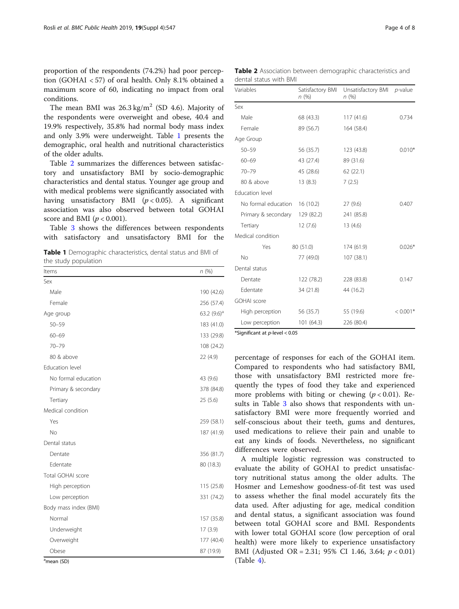proportion of the respondents (74.2%) had poor perception (GOHAI < 57) of oral health. Only 8.1% obtained a maximum score of 60, indicating no impact from oral conditions.

The mean BMI was  $26.3 \text{ kg/m}^2$  (SD 4.6). Majority of the respondents were overweight and obese, 40.4 and 19.9% respectively, 35.8% had normal body mass index and only 3.9% were underweight. Table 1 presents the demographic, oral health and nutritional characteristics of the older adults.

Table 2 summarizes the differences between satisfactory and unsatisfactory BMI by socio-demographic characteristics and dental status. Younger age group and with medical problems were significantly associated with having unsatisfactory BMI  $(p < 0.05)$ . A significant association was also observed between total GOHAI score and BMI ( $p < 0.001$ ).

Table [3](#page-4-0) shows the differences between respondents with satisfactory and unsatisfactory BMI for the

Table 1 Demographic characteristics, dental status and BMI of the study population

| Items                 | n (%)          |
|-----------------------|----------------|
| Sex                   |                |
| Male                  | 190 (42.6)     |
| Female                | 256 (57.4)     |
| Age group             | 63.2 $(9.6)^a$ |
| $50 - 59$             | 183 (41.0)     |
| $60 - 69$             | 133 (29.8)     |
| $70 - 79$             | 108 (24.2)     |
| 80 & above            | 22 (4.9)       |
| Education level       |                |
| No formal education   | 43 (9.6)       |
| Primary & secondary   | 378 (84.8)     |
| Tertiary              | 25 (5.6)       |
| Medical condition     |                |
| Yes                   | 259 (58.1)     |
| No                    | 187 (41.9)     |
| Dental status         |                |
| Dentate               | 356 (81.7)     |
| Edentate              | 80 (18.3)      |
| Total GOHAI score     |                |
| High perception       | 115 (25.8)     |
| Low perception        | 331 (74.2)     |
| Body mass index (BMI) |                |
| Normal                | 157 (35.8)     |
| Underweight           | 17(3.9)        |
| Overweight            | 177 (40.4)     |
| Obese                 | 87 (19.9)      |

Table 2 Association between demographic characteristics and dental status with BMI

| Variables           | Satisfactory BMI<br>n(%) | Unsatisfactory BMI<br>n(%) | $p$ -value |  |
|---------------------|--------------------------|----------------------------|------------|--|
| Sex                 |                          |                            |            |  |
| Male                | 68 (43.3)                | 117(41.6)                  | 0.734      |  |
| Female              | 89 (56.7)                | 164 (58.4)                 |            |  |
| Age Group           |                          |                            |            |  |
| $50 - 59$           | 56 (35.7)                | 123 (43.8)                 | $0.010*$   |  |
| $60 - 69$           | 43 (27.4)                | 89 (31.6)                  |            |  |
| $70 - 79$           | 45 (28.6)                | 62(22.1)                   |            |  |
| 80 & above          | 13(8.3)                  | 7(2.5)                     |            |  |
| Education level     |                          |                            |            |  |
| No formal education | 16(10.2)                 | 27(9.6)                    | 0.407      |  |
| Primary & secondary | 129 (82.2)               | 241 (85.8)                 |            |  |
| Tertiary            | 12(7.6)                  | 13(4.6)                    |            |  |
| Medical condition   |                          |                            |            |  |
| Yes                 | 80 (51.0)                | 174 (61.9)                 | $0.026*$   |  |
| No                  | 77 (49.0)                | 107 (38.1)                 |            |  |
| Dental status       |                          |                            |            |  |
| Dentate             | 122 (78.2)               | 228 (83.8)                 | 0.147      |  |
| Edentate            | 34 (21.8)                | 44 (16.2)                  |            |  |
| <b>GOHAI</b> score  |                          |                            |            |  |
| High perception     | 56 (35.7)                | 55 (19.6)                  | $< 0.001*$ |  |
| Low perception      | 101 (64.3)               | 226 (80.4)                 |            |  |

\*Significant at  $p$ -level < 0.05

percentage of responses for each of the GOHAI item. Compared to respondents who had satisfactory BMI, those with unsatisfactory BMI restricted more frequently the types of food they take and experienced more problems with biting or chewing  $(p < 0.01)$ . Results in Table [3](#page-4-0) also shows that respondents with unsatisfactory BMI were more frequently worried and self-conscious about their teeth, gums and dentures, used medications to relieve their pain and unable to eat any kinds of foods. Nevertheless, no significant differences were observed.

A multiple logistic regression was constructed to evaluate the ability of GOHAI to predict unsatisfactory nutritional status among the older adults. The Hosmer and Lemeshow goodness-of-fit test was used to assess whether the final model accurately fits the data used. After adjusting for age, medical condition and dental status, a significant association was found between total GOHAI score and BMI. Respondents with lower total GOHAI score (low perception of oral health) were more likely to experience unsatisfactory BMI (Adjusted OR = 2.31; 95% CI 1.46, 3.64;  $p < 0.01$ ) (Table [4\)](#page-4-0).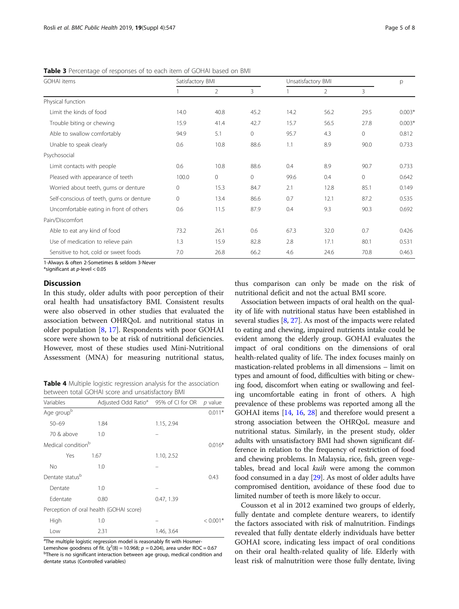<span id="page-4-0"></span>Table 3 Percentage of responses of to each item of GOHAI based on BMI

| <b>GOHAI</b> items                       | Satisfactory BMI |                | Unsatisfactory BMI |      |                | р       |          |
|------------------------------------------|------------------|----------------|--------------------|------|----------------|---------|----------|
|                                          |                  | $\overline{2}$ | 3                  |      | $\overline{2}$ | 3       |          |
| Physical function                        |                  |                |                    |      |                |         |          |
| Limit the kinds of food                  | 14.0             | 40.8           | 45.2               | 14.2 | 56.2           | 29.5    | $0.003*$ |
| Trouble biting or chewing                | 15.9             | 41.4           | 42.7               | 15.7 | 56.5           | 27.8    | $0.003*$ |
| Able to swallow comfortably              | 94.9             | 5.1            | $\circ$            | 95.7 | 4.3            | $\circ$ | 0.812    |
| Unable to speak clearly                  | 0.6              | 10.8           | 88.6               | 1.1  | 8.9            | 90.0    | 0.733    |
| Psychosocial                             |                  |                |                    |      |                |         |          |
| Limit contacts with people               | 0.6              | 10.8           | 88.6               | 0.4  | 8.9            | 90.7    | 0.733    |
| Pleased with appearance of teeth         | 100.0            | $\circ$        | $\circ$            | 99.6 | 0.4            | $\circ$ | 0.642    |
| Worried about teeth, gums or denture     | 0                | 15.3           | 84.7               | 2.1  | 12.8           | 85.1    | 0.149    |
| Self-conscious of teeth, gums or denture | $\Omega$         | 13.4           | 86.6               | 0.7  | 12.1           | 87.2    | 0.535    |
| Uncomfortable eating in front of others  | 0.6              | 11.5           | 87.9               | 0.4  | 9.3            | 90.3    | 0.692    |
| Pain/Discomfort                          |                  |                |                    |      |                |         |          |
| Able to eat any kind of food             | 73.2             | 26.1           | 0.6                | 67.3 | 32.0           | 0.7     | 0.426    |
| Use of medication to relieve pain        | 1.3              | 15.9           | 82.8               | 2.8  | 17.1           | 80.1    | 0.531    |
| Sensitive to hot, cold or sweet foods    | 7.0              | 26.8           | 66.2               | 4.6  | 24.6           | 70.8    | 0.463    |

1-Always & often 2-Sometimes & seldom 3-Never

\*significant at  $p$ -level  $< 0.05$ 

#### Discussion

In this study, older adults with poor perception of their oral health had unsatisfactory BMI. Consistent results were also observed in other studies that evaluated the association between OHRQoL and nutritional status in older population [[8,](#page-6-0) [17\]](#page-6-0). Respondents with poor GOHAI score were shown to be at risk of nutritional deficiencies. However, most of these studies used Mini-Nutritional Assessment (MNA) for measuring nutritional status,

Table 4 Multiple logistic regression analysis for the association between total GOHAI score and unsatisfactory BMI

| Variables                               | Adjusted Odd Ratio <sup>a</sup> | 95% of CI for OR | $p$ value  |  |  |
|-----------------------------------------|---------------------------------|------------------|------------|--|--|
| Age groupb                              |                                 |                  | $0.011*$   |  |  |
| $50 - 69$                               | 1.84                            | 1.15, 2.94       |            |  |  |
| 70 & above                              | 1.0                             |                  |            |  |  |
| Medical condition <sup>b</sup>          |                                 |                  | $0.016*$   |  |  |
| Yes                                     | 1.67                            | 1.10, 2.52       |            |  |  |
| <b>No</b>                               | 1.0                             |                  |            |  |  |
| Dentate status <sup>b</sup>             |                                 |                  | 0.43       |  |  |
| Dentate                                 | 1.0                             |                  |            |  |  |
| Edentate                                | 0.80                            | 0.47, 1.39       |            |  |  |
| Perception of oral health (GOHAI score) |                                 |                  |            |  |  |
| High                                    | 1.0                             |                  | $< 0.001*$ |  |  |
| Low                                     | 2.31                            | 1.46, 3.64       |            |  |  |

<sup>a</sup>The multiple logistic regression model is reasonably fit with Hosmer-Lemeshow goodness of fit.  $(\chi^2(8) = 10.968; p = 0.204)$ , area under ROC = 0.67<br>b there is no significant interaction between age group modical condition a

<sup>b</sup>There is no significant interaction between age group, medical condition and dentate status (Controlled variables)

thus comparison can only be made on the risk of nutritional deficit and not the actual BMI score.

Association between impacts of oral health on the quality of life with nutritional status have been established in several studies [[8,](#page-6-0) [27\]](#page-7-0). As most of the impacts were related to eating and chewing, impaired nutrients intake could be evident among the elderly group. GOHAI evaluates the impact of oral conditions on the dimensions of oral health-related quality of life. The index focuses mainly on mastication-related problems in all dimensions – limit on types and amount of food, difficulties with biting or chewing food, discomfort when eating or swallowing and feeling uncomfortable eating in front of others. A high prevalence of these problems was reported among all the GOHAI items [[14](#page-6-0), [16,](#page-6-0) [28\]](#page-7-0) and therefore would present a strong association between the OHRQoL measure and nutritional status. Similarly, in the present study, older adults with unsatisfactory BMI had shown significant difference in relation to the frequency of restriction of food and chewing problems. In Malaysia, rice, fish, green vegetables, bread and local *kuih* were among the common food consumed in a day [\[29\]](#page-7-0). As most of older adults have compromised dentition, avoidance of these food due to limited number of teeth is more likely to occur.

Cousson et al in 2012 examined two groups of elderly, fully dentate and complete denture wearers, to identify the factors associated with risk of malnutrition. Findings revealed that fully dentate elderly individuals have better GOHAI score, indicating less impact of oral conditions on their oral health-related quality of life. Elderly with least risk of malnutrition were those fully dentate, living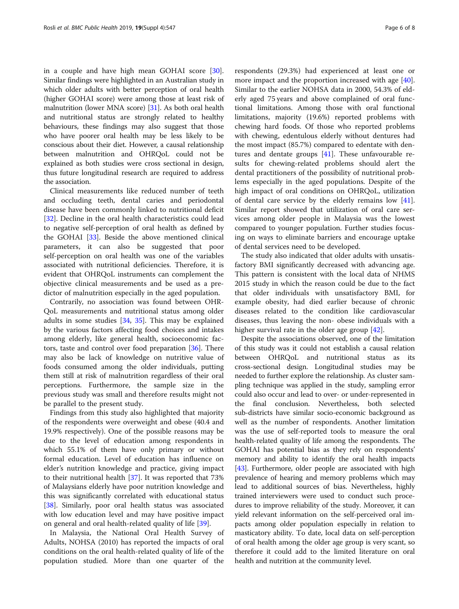in a couple and have high mean GOHAI score [\[30](#page-7-0)]. Similar findings were highlighted in an Australian study in which older adults with better perception of oral health (higher GOHAI score) were among those at least risk of malnutrition (lower MNA score) [[31](#page-7-0)]. As both oral health and nutritional status are strongly related to healthy behaviours, these findings may also suggest that those who have poorer oral health may be less likely to be conscious about their diet. However, a causal relationship between malnutrition and OHRQoL could not be explained as both studies were cross sectional in design, thus future longitudinal research are required to address the association.

Clinical measurements like reduced number of teeth and occluding teeth, dental caries and periodontal disease have been commonly linked to nutritional deficit [[32\]](#page-7-0). Decline in the oral health characteristics could lead to negative self-perception of oral health as defined by the GOHAI [[33](#page-7-0)]. Beside the above mentioned clinical parameters, it can also be suggested that poor self-perception on oral health was one of the variables associated with nutritional deficiencies. Therefore, it is evident that OHRQoL instruments can complement the objective clinical measurements and be used as a predictor of malnutrition especially in the aged population.

Contrarily, no association was found between OHR-QoL measurements and nutritional status among older adults in some studies [[34,](#page-7-0) [35\]](#page-7-0). This may be explained by the various factors affecting food choices and intakes among elderly, like general health, socioeconomic factors, taste and control over food preparation [[36\]](#page-7-0). There may also be lack of knowledge on nutritive value of foods consumed among the older individuals, putting them still at risk of malnutrition regardless of their oral perceptions. Furthermore, the sample size in the previous study was small and therefore results might not be parallel to the present study.

Findings from this study also highlighted that majority of the respondents were overweight and obese (40.4 and 19.9% respectively). One of the possible reasons may be due to the level of education among respondents in which 55.1% of them have only primary or without formal education. Level of education has influence on elder's nutrition knowledge and practice, giving impact to their nutritional health [\[37](#page-7-0)]. It was reported that 73% of Malaysians elderly have poor nutrition knowledge and this was significantly correlated with educational status [[38\]](#page-7-0). Similarly, poor oral health status was associated with low education level and may have positive impact on general and oral health-related quality of life [[39\]](#page-7-0).

In Malaysia, the National Oral Health Survey of Adults, NOHSA (2010) has reported the impacts of oral conditions on the oral health-related quality of life of the population studied. More than one quarter of the

respondents (29.3%) had experienced at least one or more impact and the proportion increased with age [\[40](#page-7-0)]. Similar to the earlier NOHSA data in 2000, 54.3% of elderly aged 75 years and above complained of oral functional limitations. Among those with oral functional limitations, majority (19.6%) reported problems with chewing hard foods. Of those who reported problems with chewing, edentulous elderly without dentures had the most impact (85.7%) compared to edentate with dentures and dentate groups [\[41](#page-7-0)]. These unfavourable results for chewing-related problems should alert the dental practitioners of the possibility of nutritional problems especially in the aged populations. Despite of the high impact of oral conditions on OHRQoL, utilization of dental care service by the elderly remains low [\[41](#page-7-0)]. Similar report showed that utilization of oral care services among older people in Malaysia was the lowest compared to younger population. Further studies focusing on ways to eliminate barriers and encourage uptake of dental services need to be developed.

The study also indicated that older adults with unsatisfactory BMI significantly decreased with advancing age. This pattern is consistent with the local data of NHMS 2015 study in which the reason could be due to the fact that older individuals with unsatisfactory BMI, for example obesity, had died earlier because of chronic diseases related to the condition like cardiovascular diseases, thus leaving the non- obese individuals with a higher survival rate in the older age group [[42\]](#page-7-0).

Despite the associations observed, one of the limitation of this study was it could not establish a causal relation between OHRQoL and nutritional status as its cross-sectional design. Longitudinal studies may be needed to further explore the relationship. As cluster sampling technique was applied in the study, sampling error could also occur and lead to over- or under-represented in the final conclusion. Nevertheless, both selected sub-districts have similar socio-economic background as well as the number of respondents. Another limitation was the use of self-reported tools to measure the oral health-related quality of life among the respondents. The GOHAI has potential bias as they rely on respondents' memory and ability to identify the oral health impacts [[43](#page-7-0)]. Furthermore, older people are associated with high prevalence of hearing and memory problems which may lead to additional sources of bias. Nevertheless, highly trained interviewers were used to conduct such procedures to improve reliability of the study. Moreover, it can yield relevant information on the self-perceived oral impacts among older population especially in relation to masticatory ability. To date, local data on self-perception of oral health among the older age group is very scant, so therefore it could add to the limited literature on oral health and nutrition at the community level.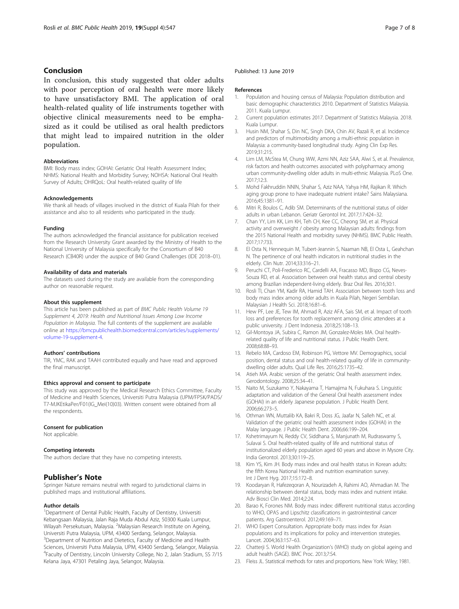#### <span id="page-6-0"></span>Conclusion

In conclusion, this study suggested that older adults with poor perception of oral health were more likely to have unsatisfactory BMI. The application of oral health-related quality of life instruments together with objective clinical measurements need to be emphasized as it could be utilised as oral health predictors that might lead to impaired nutrition in the older population.

#### Abbreviations

BMI: Body mass index; GOHAI: Geriatric Oral Health Assessment Index; NHMS: National Health and Morbidity Survey; NOHSA: National Oral Health Survey of Adults; OHRQoL: Oral health-related quality of life

#### Acknowledgements

We thank all heads of villages involved in the district of Kuala Pilah for their assistance and also to all residents who participated in the study.

#### Funding

The authors acknowledged the financial assistance for publication received from the Research University Grant awarded by the Ministry of Health to the National University of Malaysia specifically for the Consortium of B40 Research (CB40R) under the auspice of B40 Grand Challenges (IDE 2018–01).

#### Availability of data and materials

The datasets used during the study are available from the corresponding author on reasonable request.

#### About this supplement

This article has been published as part of BMC Public Health Volume 19 Supplement 4, 2019: Health and Nutritional Issues Among Low Income Population in Malaysia. The full contents of the supplement are available online at [https://bmcpublichealth.biomedcentral.com/articles/supplements/](https://bmcpublichealth.biomedcentral.com/articles/supplements/volume-19-supplement-4) [volume-19-supplement-4](https://bmcpublichealth.biomedcentral.com/articles/supplements/volume-19-supplement-4).

#### Authors' contributions

TIR, YMC, RAK and TAAH contributed equally and have read and approved the final manuscript.

#### Ethics approval and consent to participate

This study was approved by the Medical Research Ethics Committee, Faculty of Medicine and Health Sciences, Universiti Putra Malaysia (UPM/FPSK/PADS/ T7-MJKEtikaPer/F01(IG\_Mei(10)03). Written consent were obtained from all the respondents.

#### Consent for publication

Not applicable.

#### Competing interests

The authors declare that they have no competing interests.

#### Publisher's Note

Springer Nature remains neutral with regard to jurisdictional claims in published maps and institutional affiliations.

#### Author details

<sup>1</sup>Department of Dental Public Health, Faculty of Dentistry, Universiti Kebangsaan Malaysia, Jalan Raja Muda Abdul Aziz, 50300 Kuala Lumpur, Wilayah Persekutuan, Malaysia. <sup>2</sup>Malaysian Research Institute on Ageing, Universiti Putra Malaysia, UPM, 43400 Serdang, Selangor, Malaysia. <sup>3</sup>Department of Nutrition and Dietetics, Faculty of Medicine and Health Sciences, Universiti Putra Malaysia, UPM, 43400 Serdang, Selangor, Malaysia. 4 Faculty of Dentistry, Lincoln University College, No 2, Jalan Stadium, SS 7/15 Kelana Jaya, 47301 Petaling Jaya, Selangor, Malaysia.

#### Published: 13 June 2019

#### References

- Population and housing census of Malaysia: Population distribution and basic demographic characteristics 2010. Department of Statistics Malaysia. 2011. Kuala Lumpur.
- 2. Current population estimates 2017. Department of Statistics Malaysia. 2018. Kuala Lumpur.
- 3. Husin NM, Shahar S, Din NC, Singh DKA, Chin AV, Razali R, et al. Incidence and predictors of multimorbidity among a multi-ethnic population in Malaysia: a community-based longitudinal study. Aging Clin Exp Res. 2019;31:215.
- 4. Lim LM, McStea M, Chung WW, Azmi NN, Aziz SAA, Alwi S, et al. Prevalence, risk factors and health outcomes associated with polypharmacy among urban community-dwelling older adults in multi-ethnic Malaysia. PLoS One. 2017;12:3.
- 5. Mohd Fakhruddin NNIN, Shahar S, Aziz NAA, Yahya HM, Rajikan R. Which aging group prone to have inadequate nutrient intake? Sains Malaysiana. 2016;45:1381–91.
- 6. Mitri R, Boulos C, Adib SM. Determinants of the nutritional status of older adults in urban Lebanon. Geriatr Gerontol Int. 2017;17:424–32.
- 7. Chan YY, Lim KK, Lim KH, Teh CH, Kee CC, Cheong SM, et al. Physical activity and overweight / obesity among Malaysian adults: findings from the 2015 National Health and morbidity survey (NHMS). BMC Public Health. 2017;17:733.
- 8. El Osta N, Hennequin M, Tubert-Jeannin S, Naaman NB, El Osta L, Geahchan N. The pertinence of oral health indicators in nutritional studies in the elderly. Clin Nutr. 2014;33:316–21.
- 9. Peruchi CT, Poli-Frederico RC, Cardelli AA, Fracasso MD, Bispo CG, Neves-Souza RD, et al. Association between oral health status and central obesity among Brazilian independent-living elderly. Braz Oral Res. 2016;30:1.
- 10. Rosli TI, Chan YM, Kadir RA, Hamid TAH. Association between tooth loss and body mass index among older adults in Kuala Pilah, Negeri Sembilan. Malaysian J Health Sci. 2018;16:81–6.
- 11. Hew PF, Lee JE, Tew IM, Ahmad R, Aziz AFA, Sais SM, et al. Impact of tooth loss and preferences for tooth replacement among clinic attendees at a public university. J Dent Indonesia. 2018;25:108–13.
- 12. Gil-Montoya JA, Subira C, Ramon JM, Gonzalez-Moles MA. Oral healthrelated quality of life and nutritional status. J Public Health Dent. 2008;68:88–93.
- 13. Rebelo MA, Cardoso EM, Robinson PG, Vettore MV. Demographics, social position, dental status and oral health-related quality of life in communitydwelling older adults. Qual Life Res. 2016;25:1735–42.
- 14. Atieh MA. Arabic version of the geriatric Oral health assessment index. Gerodontology. 2008;25:34–41.
- 15. Naito M, Suzukamo Y, Nakayama T, Hamajima N, Fukuhara S. Linguistic adaptation and validation of the General Oral health assessment index (GOHAI) in an elderly Japanese population. J Public Health Dent. 2006;66:273–5.
- 16. Othman WN, Muttalib KA, Bakri R, Doss JG, Jaafar N, Salleh NC, et al. Validation of the geriatric oral health assessment index (GOHAI) in the Malay language. J Public Health Dent. 2006;66:199–204.
- 17. Kshetrimayum N, Reddy CV, Siddhana S, Manjunath M, Rudraswamy S, Sulavai S. Oral health-related quality of life and nutritional status of institutionalized elderly population aged 60 years and above in Mysore City. India Gerontol. 2013;30:119–25.
- 18. Kim YS, Kim JH. Body mass index and oral health status in Korean adults: the fifth Korea National Health and nutrition examination survey. Int J Dent Hyg. 2017;15:172–8.
- 19. Koodaryan R, Hafezeqoran A, Nourizadeh A, Rahimi AO, Ahmadian M. The relationship between dental status, body mass index and nutrient intake. Adv Biosci Clin Med. 2014;2:24.
- 20. Barao K, Forones NM. Body mass index: different nutritional status according to WHO, OPAS and Lipschitz classifications in gastrointestinal cancer patients. Arg Gastroenterol. 2012;49:169–71.
- 21. WHO Expert Consultation. Appropriate body mass index for Asian populations and its implications for policy and intervention strategies. Lancet. 2004;363:157–63.
- 22. Chatterji S. World Health Organization's (WHO) study on global ageing and adult health (SAGE). BMC Proc. 2013;7:S4.
- 23. Fleiss JL. Statistical methods for rates and proportions. New York: Wiley; 1981.